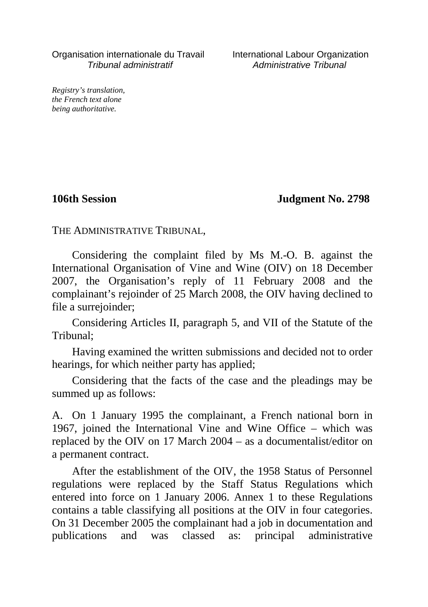Organisation internationale du Travail International Labour Organization Tribunal administratif Administrative Tribunal

*Registry's translation, the French text alone being authoritative.*

**106th Session Judgment No. 2798**

THE ADMINISTRATIVE TRIBUNAL,

Considering the complaint filed by Ms M.-O. B. against the International Organisation of Vine and Wine (OIV) on 18 December 2007, the Organisation's reply of 11 February 2008 and the complainant's rejoinder of 25 March 2008, the OIV having declined to file a surrejoinder;

Considering Articles II, paragraph 5, and VII of the Statute of the Tribunal;

Having examined the written submissions and decided not to order hearings, for which neither party has applied;

Considering that the facts of the case and the pleadings may be summed up as follows:

A. On 1 January 1995 the complainant, a French national born in 1967, joined the International Vine and Wine Office – which was replaced by the OIV on 17 March 2004 – as a documentalist/editor on a permanent contract.

After the establishment of the OIV, the 1958 Status of Personnel regulations were replaced by the Staff Status Regulations which entered into force on 1 January 2006. Annex 1 to these Regulations contains a table classifying all positions at the OIV in four categories. On 31 December 2005 the complainant had a job in documentation and publications and was classed as: principal administrative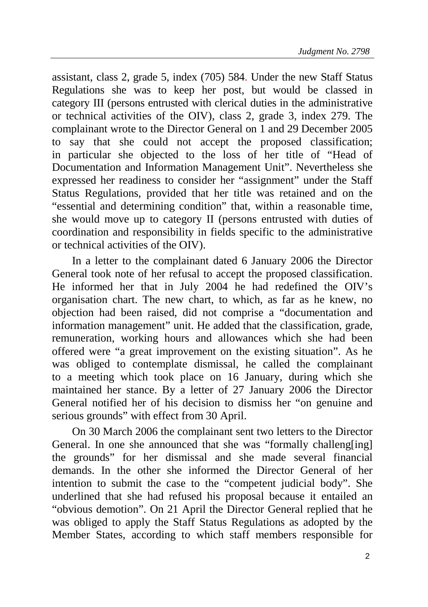assistant, class 2, grade 5, index (705) 584. Under the new Staff Status Regulations she was to keep her post, but would be classed in category III (persons entrusted with clerical duties in the administrative or technical activities of the OIV), class 2, grade 3, index 279. The complainant wrote to the Director General on 1 and 29 December 2005 to say that she could not accept the proposed classification; in particular she objected to the loss of her title of "Head of Documentation and Information Management Unit". Nevertheless she expressed her readiness to consider her "assignment" under the Staff Status Regulations, provided that her title was retained and on the "essential and determining condition" that, within a reasonable time, she would move up to category II (persons entrusted with duties of coordination and responsibility in fields specific to the administrative or technical activities of the OIV).

In a letter to the complainant dated 6 January 2006 the Director General took note of her refusal to accept the proposed classification. He informed her that in July 2004 he had redefined the OIV's organisation chart. The new chart, to which, as far as he knew, no objection had been raised, did not comprise a "documentation and information management" unit. He added that the classification, grade, remuneration, working hours and allowances which she had been offered were "a great improvement on the existing situation". As he was obliged to contemplate dismissal, he called the complainant to a meeting which took place on 16 January, during which she maintained her stance. By a letter of 27 January 2006 the Director General notified her of his decision to dismiss her "on genuine and serious grounds" with effect from 30 April.

On 30 March 2006 the complainant sent two letters to the Director General. In one she announced that she was "formally challeng[ing] the grounds" for her dismissal and she made several financial demands. In the other she informed the Director General of her intention to submit the case to the "competent judicial body". She underlined that she had refused his proposal because it entailed an "obvious demotion". On 21 April the Director General replied that he was obliged to apply the Staff Status Regulations as adopted by the Member States, according to which staff members responsible for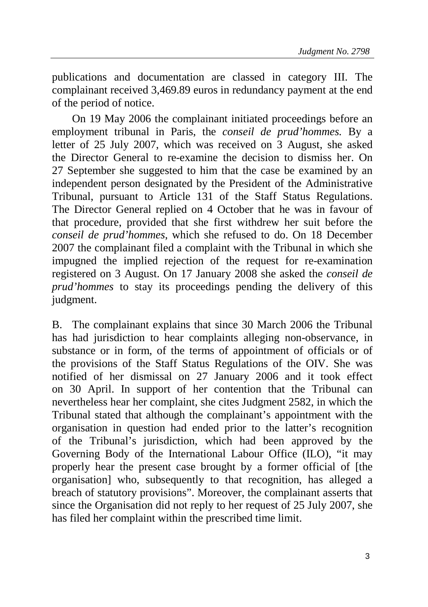publications and documentation are classed in category III. The complainant received 3,469.89 euros in redundancy payment at the end of the period of notice.

On 19 May 2006 the complainant initiated proceedings before an employment tribunal in Paris, the *conseil de prud'hommes.* By a letter of 25 July 2007, which was received on 3 August, she asked the Director General to re-examine the decision to dismiss her. On 27 September she suggested to him that the case be examined by an independent person designated by the President of the Administrative Tribunal, pursuant to Article 131 of the Staff Status Regulations. The Director General replied on 4 October that he was in favour of that procedure, provided that she first withdrew her suit before the *conseil de prud'hommes*, which she refused to do. On 18 December 2007 the complainant filed a complaint with the Tribunal in which she impugned the implied rejection of the request for re-examination registered on 3 August. On 17 January 2008 she asked the *conseil de prud'hommes* to stay its proceedings pending the delivery of this judgment.

B. The complainant explains that since 30 March 2006 the Tribunal has had jurisdiction to hear complaints alleging non-observance, in substance or in form, of the terms of appointment of officials or of the provisions of the Staff Status Regulations of the OIV. She was notified of her dismissal on 27 January 2006 and it took effect on 30 April. In support of her contention that the Tribunal can nevertheless hear her complaint, she cites Judgment 2582, in which the Tribunal stated that although the complainant's appointment with the organisation in question had ended prior to the latter's recognition of the Tribunal's jurisdiction, which had been approved by the Governing Body of the International Labour Office (ILO), "it may properly hear the present case brought by a former official of [the organisation] who, subsequently to that recognition, has alleged a breach of statutory provisions". Moreover, the complainant asserts that since the Organisation did not reply to her request of 25 July 2007, she has filed her complaint within the prescribed time limit.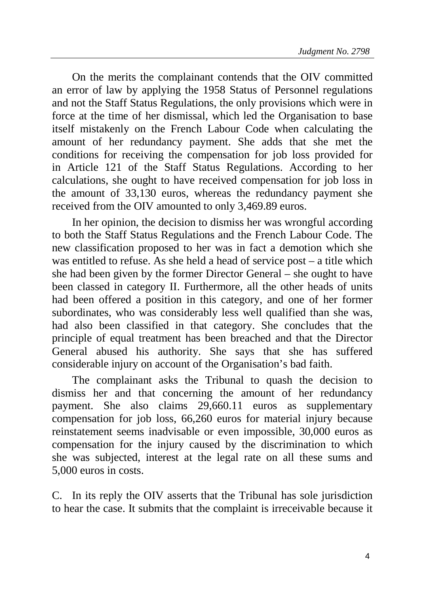On the merits the complainant contends that the OIV committed an error of law by applying the 1958 Status of Personnel regulations and not the Staff Status Regulations, the only provisions which were in force at the time of her dismissal, which led the Organisation to base itself mistakenly on the French Labour Code when calculating the amount of her redundancy payment. She adds that she met the conditions for receiving the compensation for job loss provided for in Article 121 of the Staff Status Regulations. According to her calculations, she ought to have received compensation for job loss in the amount of 33,130 euros, whereas the redundancy payment she received from the OIV amounted to only 3,469.89 euros.

In her opinion, the decision to dismiss her was wrongful according to both the Staff Status Regulations and the French Labour Code. The new classification proposed to her was in fact a demotion which she was entitled to refuse. As she held a head of service post – a title which she had been given by the former Director General – she ought to have been classed in category II. Furthermore, all the other heads of units had been offered a position in this category, and one of her former subordinates, who was considerably less well qualified than she was, had also been classified in that category. She concludes that the principle of equal treatment has been breached and that the Director General abused his authority. She says that she has suffered considerable injury on account of the Organisation's bad faith.

The complainant asks the Tribunal to quash the decision to dismiss her and that concerning the amount of her redundancy payment. She also claims 29,660.11 euros as supplementary compensation for job loss, 66,260 euros for material injury because reinstatement seems inadvisable or even impossible, 30,000 euros as compensation for the injury caused by the discrimination to which she was subjected, interest at the legal rate on all these sums and 5,000 euros in costs.

C. In its reply the OIV asserts that the Tribunal has sole jurisdiction to hear the case. It submits that the complaint is irreceivable because it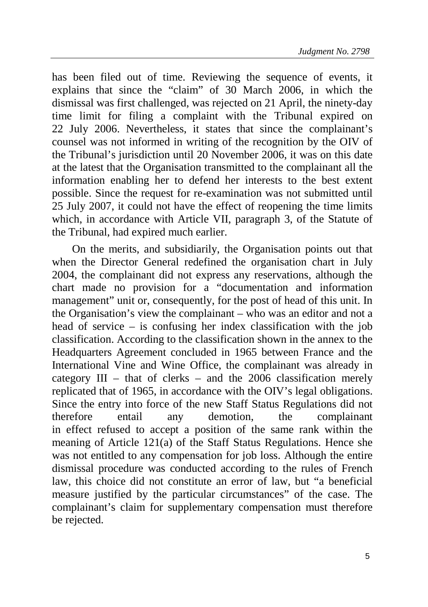has been filed out of time. Reviewing the sequence of events, it explains that since the "claim" of 30 March 2006, in which the dismissal was first challenged, was rejected on 21 April, the ninety-day time limit for filing a complaint with the Tribunal expired on 22 July 2006. Nevertheless, it states that since the complainant's counsel was not informed in writing of the recognition by the OIV of the Tribunal's jurisdiction until 20 November 2006, it was on this date at the latest that the Organisation transmitted to the complainant all the information enabling her to defend her interests to the best extent possible. Since the request for re-examination was not submitted until 25 July 2007, it could not have the effect of reopening the time limits which, in accordance with Article VII, paragraph 3, of the Statute of the Tribunal, had expired much earlier.

On the merits, and subsidiarily, the Organisation points out that when the Director General redefined the organisation chart in July 2004, the complainant did not express any reservations, although the chart made no provision for a "documentation and information management" unit or, consequently, for the post of head of this unit. In the Organisation's view the complainant – who was an editor and not a head of service – is confusing her index classification with the job classification. According to the classification shown in the annex to the Headquarters Agreement concluded in 1965 between France and the International Vine and Wine Office, the complainant was already in category III – that of clerks – and the 2006 classification merely replicated that of 1965, in accordance with the OIV's legal obligations. Since the entry into force of the new Staff Status Regulations did not therefore entail any demotion, the complainant in effect refused to accept a position of the same rank within the meaning of Article 121(a) of the Staff Status Regulations. Hence she was not entitled to any compensation for job loss. Although the entire dismissal procedure was conducted according to the rules of French law, this choice did not constitute an error of law, but "a beneficial measure justified by the particular circumstances" of the case. The complainant's claim for supplementary compensation must therefore be rejected.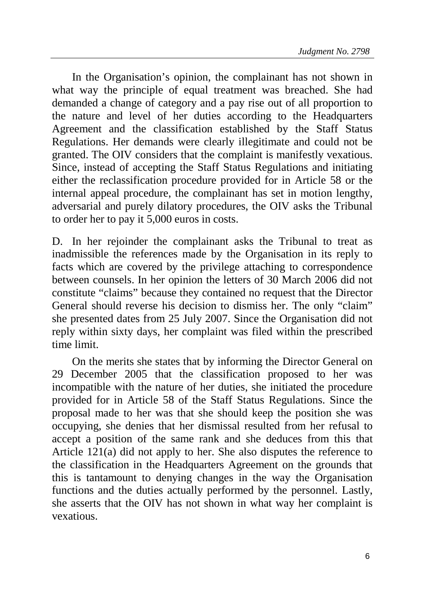In the Organisation's opinion, the complainant has not shown in what way the principle of equal treatment was breached. She had demanded a change of category and a pay rise out of all proportion to the nature and level of her duties according to the Headquarters Agreement and the classification established by the Staff Status Regulations. Her demands were clearly illegitimate and could not be granted. The OIV considers that the complaint is manifestly vexatious. Since, instead of accepting the Staff Status Regulations and initiating either the reclassification procedure provided for in Article 58 or the internal appeal procedure, the complainant has set in motion lengthy, adversarial and purely dilatory procedures, the OIV asks the Tribunal to order her to pay it 5,000 euros in costs.

D. In her rejoinder the complainant asks the Tribunal to treat as inadmissible the references made by the Organisation in its reply to facts which are covered by the privilege attaching to correspondence between counsels. In her opinion the letters of 30 March 2006 did not constitute "claims" because they contained no request that the Director General should reverse his decision to dismiss her. The only "claim" she presented dates from 25 July 2007. Since the Organisation did not reply within sixty days, her complaint was filed within the prescribed time limit.

On the merits she states that by informing the Director General on 29 December 2005 that the classification proposed to her was incompatible with the nature of her duties, she initiated the procedure provided for in Article 58 of the Staff Status Regulations. Since the proposal made to her was that she should keep the position she was occupying, she denies that her dismissal resulted from her refusal to accept a position of the same rank and she deduces from this that Article 121(a) did not apply to her. She also disputes the reference to the classification in the Headquarters Agreement on the grounds that this is tantamount to denying changes in the way the Organisation functions and the duties actually performed by the personnel. Lastly, she asserts that the OIV has not shown in what way her complaint is vexatious.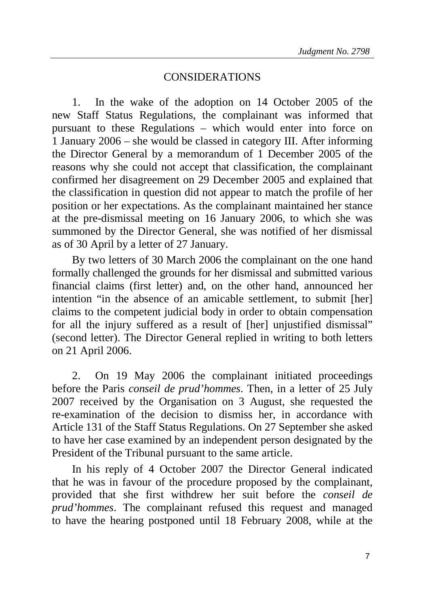## CONSIDERATIONS

1. In the wake of the adoption on 14 October 2005 of the new Staff Status Regulations, the complainant was informed that pursuant to these Regulations – which would enter into force on 1 January 2006 – she would be classed in category III. After informing the Director General by a memorandum of 1 December 2005 of the reasons why she could not accept that classification, the complainant confirmed her disagreement on 29 December 2005 and explained that the classification in question did not appear to match the profile of her position or her expectations. As the complainant maintained her stance at the pre-dismissal meeting on 16 January 2006, to which she was summoned by the Director General, she was notified of her dismissal as of 30 April by a letter of 27 January.

By two letters of 30 March 2006 the complainant on the one hand formally challenged the grounds for her dismissal and submitted various financial claims (first letter) and, on the other hand, announced her intention "in the absence of an amicable settlement, to submit [her] claims to the competent judicial body in order to obtain compensation for all the injury suffered as a result of [her] unjustified dismissal" (second letter). The Director General replied in writing to both letters on 21 April 2006.

2. On 19 May 2006 the complainant initiated proceedings before the Paris *conseil de prud'hommes*. Then, in a letter of 25 July 2007 received by the Organisation on 3 August, she requested the re-examination of the decision to dismiss her, in accordance with Article 131 of the Staff Status Regulations. On 27 September she asked to have her case examined by an independent person designated by the President of the Tribunal pursuant to the same article.

In his reply of 4 October 2007 the Director General indicated that he was in favour of the procedure proposed by the complainant, provided that she first withdrew her suit before the *conseil de prud'hommes*. The complainant refused this request and managed to have the hearing postponed until 18 February 2008, while at the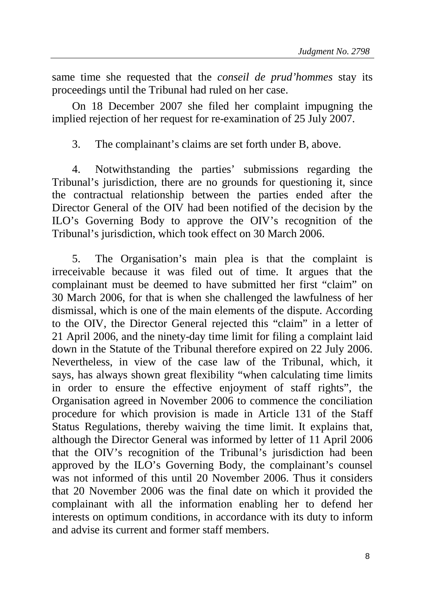same time she requested that the *conseil de prud'hommes* stay its proceedings until the Tribunal had ruled on her case.

On 18 December 2007 she filed her complaint impugning the implied rejection of her request for re-examination of 25 July 2007.

3. The complainant's claims are set forth under B, above.

4. Notwithstanding the parties' submissions regarding the Tribunal's jurisdiction, there are no grounds for questioning it, since the contractual relationship between the parties ended after the Director General of the OIV had been notified of the decision by the ILO's Governing Body to approve the OIV's recognition of the Tribunal's jurisdiction, which took effect on 30 March 2006.

5. The Organisation's main plea is that the complaint is irreceivable because it was filed out of time. It argues that the complainant must be deemed to have submitted her first "claim" on 30 March 2006, for that is when she challenged the lawfulness of her dismissal, which is one of the main elements of the dispute. According to the OIV, the Director General rejected this "claim" in a letter of 21 April 2006, and the ninety-day time limit for filing a complaint laid down in the Statute of the Tribunal therefore expired on 22 July 2006. Nevertheless, in view of the case law of the Tribunal, which, it says, has always shown great flexibility "when calculating time limits in order to ensure the effective enjoyment of staff rights", the Organisation agreed in November 2006 to commence the conciliation procedure for which provision is made in Article 131 of the Staff Status Regulations, thereby waiving the time limit. It explains that, although the Director General was informed by letter of 11 April 2006 that the OIV's recognition of the Tribunal's jurisdiction had been approved by the ILO's Governing Body, the complainant's counsel was not informed of this until 20 November 2006. Thus it considers that 20 November 2006 was the final date on which it provided the complainant with all the information enabling her to defend her interests on optimum conditions, in accordance with its duty to inform and advise its current and former staff members.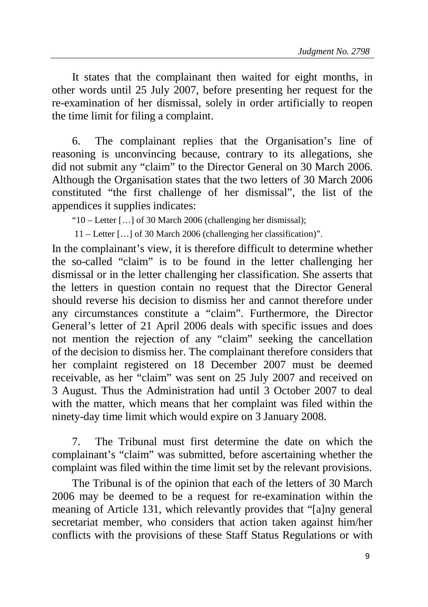It states that the complainant then waited for eight months, in other words until 25 July 2007, before presenting her request for the re-examination of her dismissal, solely in order artificially to reopen the time limit for filing a complaint.

6. The complainant replies that the Organisation's line of reasoning is unconvincing because, contrary to its allegations, she did not submit any "claim" to the Director General on 30 March 2006. Although the Organisation states that the two letters of 30 March 2006 constituted "the first challenge of her dismissal", the list of the appendices it supplies indicates:

"10 – Letter […] of 30 March 2006 (challenging her dismissal);

11 – Letter […] of 30 March 2006 (challenging her classification)".

In the complainant's view, it is therefore difficult to determine whether the so-called "claim" is to be found in the letter challenging her dismissal or in the letter challenging her classification. She asserts that the letters in question contain no request that the Director General should reverse his decision to dismiss her and cannot therefore under any circumstances constitute a "claim". Furthermore, the Director General's letter of 21 April 2006 deals with specific issues and does not mention the rejection of any "claim" seeking the cancellation of the decision to dismiss her. The complainant therefore considers that her complaint registered on 18 December 2007 must be deemed receivable, as her "claim" was sent on 25 July 2007 and received on 3 August. Thus the Administration had until 3 October 2007 to deal with the matter, which means that her complaint was filed within the ninety-day time limit which would expire on 3 January 2008.

7. The Tribunal must first determine the date on which the complainant's "claim" was submitted, before ascertaining whether the complaint was filed within the time limit set by the relevant provisions.

The Tribunal is of the opinion that each of the letters of 30 March 2006 may be deemed to be a request for re-examination within the meaning of Article 131, which relevantly provides that "[a]ny general secretariat member, who considers that action taken against him/her conflicts with the provisions of these Staff Status Regulations or with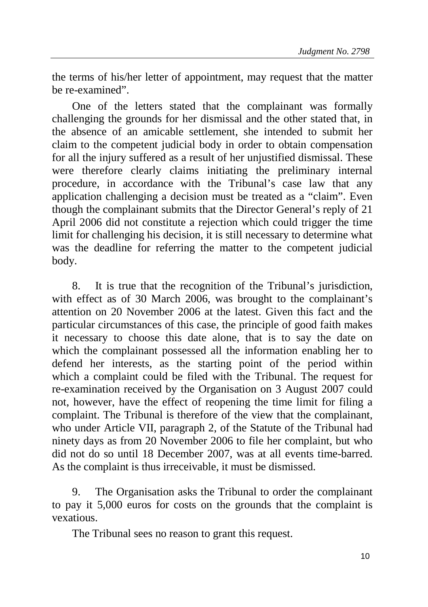the terms of his/her letter of appointment, may request that the matter be re-examined".

One of the letters stated that the complainant was formally challenging the grounds for her dismissal and the other stated that, in the absence of an amicable settlement, she intended to submit her claim to the competent judicial body in order to obtain compensation for all the injury suffered as a result of her unjustified dismissal. These were therefore clearly claims initiating the preliminary internal procedure, in accordance with the Tribunal's case law that any application challenging a decision must be treated as a "claim". Even though the complainant submits that the Director General's reply of 21 April 2006 did not constitute a rejection which could trigger the time limit for challenging his decision, it is still necessary to determine what was the deadline for referring the matter to the competent judicial body.

8. It is true that the recognition of the Tribunal's jurisdiction, with effect as of 30 March 2006, was brought to the complainant's attention on 20 November 2006 at the latest. Given this fact and the particular circumstances of this case, the principle of good faith makes it necessary to choose this date alone, that is to say the date on which the complainant possessed all the information enabling her to defend her interests, as the starting point of the period within which a complaint could be filed with the Tribunal. The request for re-examination received by the Organisation on 3 August 2007 could not, however, have the effect of reopening the time limit for filing a complaint. The Tribunal is therefore of the view that the complainant, who under Article VII, paragraph 2, of the Statute of the Tribunal had ninety days as from 20 November 2006 to file her complaint, but who did not do so until 18 December 2007, was at all events time-barred. As the complaint is thus irreceivable, it must be dismissed.

9. The Organisation asks the Tribunal to order the complainant to pay it 5,000 euros for costs on the grounds that the complaint is vexatious.

The Tribunal sees no reason to grant this request.